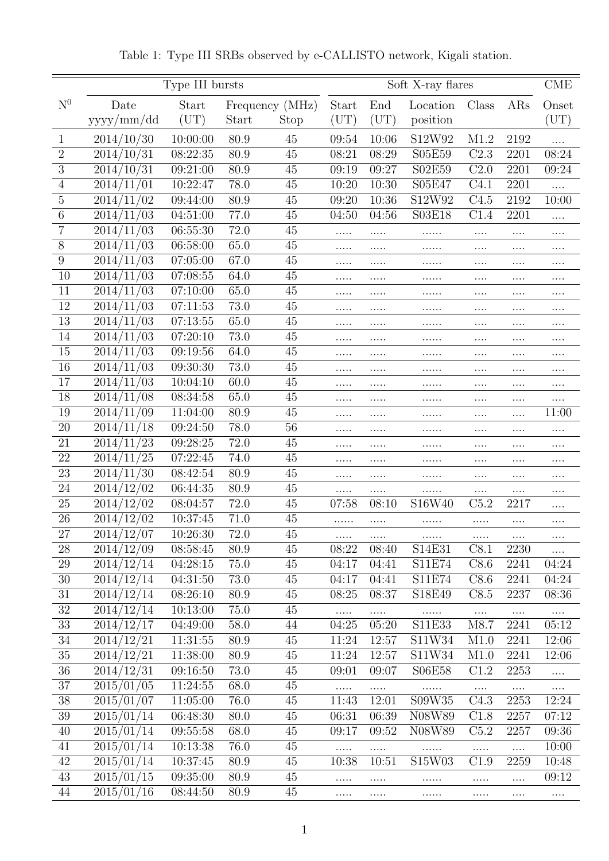|                  | Type III bursts          |                      |              |                 |                   | <b>CME</b>        |                           |                    |                   |                   |
|------------------|--------------------------|----------------------|--------------|-----------------|-------------------|-------------------|---------------------------|--------------------|-------------------|-------------------|
| N <sup>0</sup>   | Date                     | Start                |              | Frequency (MHz) | Start             | End               | Location                  | Class              | ARs               | Onset             |
|                  | yyyy/mm/dd               | (UT)                 | Start        | Stop            | $(\mathrm{UT})$   | $(\mathrm{UT})$   | position                  |                    |                   | $(\mathrm{UT})$   |
| 1                | 2014/10/30               | 10:00:00             | 80.9         | 45              | 09:54             | 10:06             | S12W92                    | M1.2               | 2192              | .                 |
| $\overline{2}$   | 2014/10/31               | 08:22:35             | 80.9         | 45              | 08:21             | 08:29             | S05E59                    | C2.3               | 2201              | 08:24             |
| 3                | 2014/10/31               | 09:21:00             | 80.9         | 45              | 09:19             | 09:27             | S02E59                    | C <sub>2.0</sub>   | 2201              | 09:24             |
| 4                | 2014/11/01               | 10:22:47             | 78.0         | 45              | 10:20             | 10:30             | S05E47                    | C4.1               | 2201              | .                 |
| $\overline{5}$   | 2014/11/02               | 09:44:00             | 80.9         | 45              | 09:20             | 10:36             | S12W92                    | C4.5               | 2192              | 10:00             |
| 6                | 2014/11/03               | 04:51:00             | 77.0         | 45              | 04:50             | 04:56             | S03E18                    | C1.4               | 2201              | .                 |
| 7                | 2014/11/03               | 06:55:30             | 72.0         | 45              |                   |                   | .                         | .                  | .                 | $\cdots$          |
| 8                | 2014/11/03               | 06:58:00             | 65.0         | 45              |                   | .                 | .                         | .                  |                   | .                 |
| 9                | 2014/11/03               | 07:05:00             | 67.0         | 45              | .                 |                   | .                         | .                  |                   | $\cdots$          |
| 10               | 2014/11/03               | 07:08:55             | 64.0         | 45              | .                 | .                 | .                         | .                  | $\cdots$          | .                 |
| 11               | 2014/11/03               | 07:10:00             | 65.0         | 45              | .                 | .                 | .                         | .                  | .                 | $\cdots$          |
| 12               | 2014/11/03               | 07:11:53             | 73.0         | 45              | .                 | .                 | .                         | .                  | $\cdots$          | $\cdots$          |
| 13               | 2014/11/03               | 07:13:55             | 65.0         | 45              |                   |                   | .                         | $\cdots$           | $\cdots$          | $\cdots$          |
| 14               | 2014/11/03               | 07:20:10             | 73.0         | 45              | .                 |                   | .                         | .                  | $\cdots$          | $\cdots$          |
| 15               | 2014/11/03               | 09:19:56             | 64.0         | $45\,$          | .                 |                   |                           | .                  | .                 | $\cdots$          |
| 16               | 2014/11/03               | 09:30:30             | 73.0         | 45              | .                 | .                 | .                         | .                  | .                 | .                 |
| 17               | 2014/11/03               | 10:04:10             | 60.0         | 45              | .                 | .                 | .                         | .                  |                   | .                 |
| 18               | 2014/11/08               | 08:34:58             | 65.0         | 45              | .                 | .                 | .                         | .                  |                   | .                 |
| 19               | 2014/11/09               | 11:04:00             | 80.9         | 45              |                   | .                 | .                         | .                  |                   | 11:00             |
| 20               | 2014/11/18               | 09:24:50             | 78.0         | 56              | .                 | .                 | .                         | .                  |                   |                   |
| 21               | 2014/11/23               | 09:28:25             | 72.0         | 45              | .                 | .                 | .                         | .                  | $\cdots$          | .                 |
| 22               | 2014/11/25               | 07:22:45             | 74.0         | 45              | .                 | .                 | .                         | .                  | $\cdots$          | .                 |
| 23               | 2014/11/30               | 08:42:54             | 80.9         | 45              | .                 |                   | .                         | .                  |                   | $\cdots$          |
| 24               | 2014/12/02               | 06:44:35             | 80.9         | 45              |                   | .                 |                           | .                  | .                 | $\cdots$          |
| 25               | 2014/12/02               | 08:04:57             | 72.0         | 45              | 07:58             | 08:10             | S16W40                    | C5.2               | 2217              | .                 |
| 26               | 2014/12/02               | 10:37:45             | 71.0         | 45              | .                 | .                 | .                         | .                  | .                 | $\cdots$          |
| 27               | 2014/12/07               | 10:26:30             | 72.0         | 45              | $\cdots$          | $\cdots$          | $\ldots \ldots$           | $\cdots$           | $\cdots$          | .                 |
| $28\,$           | 2014/12/09               | 08:58:45             | 80.9         | 45              | 08:22             | 08:40             | S14E31                    | C8.1               | 2230              | $\ldots$          |
| $29\,$           | 2014/12/14               | 04:28:15             | 75.0         | 45              | 04:17             | 04:41             | S11E74                    | C8.6               | 2241              | 04:24             |
| $30\,$           | 2014/12/14               | 04:31:50             | 73.0         | 45<br>45        | 04:17<br>08:25    | 04:41<br>08:37    | S11E74                    | C8.6<br>C8.5       | 2241<br>2237      | 04:24             |
| $31\,$<br>$32\,$ | 2014/12/14<br>2014/12/14 | 08:26:10             | 80.9         | 45              |                   |                   | S18E49                    |                    |                   | 08:36             |
| 33               | 2014/12/17               | 10:13:00<br>04:49:00 | 75.0<br>58.0 | 44              | $\cdots$          | $\cdots$<br>05:20 | .<br>S11E33               | $\cdots$<br>M8.7   | $\cdots$<br>2241  | $\cdots$<br>05:12 |
| $\overline{34}$  | 2014/12/21               | 11:31:55             | 80.9         | 45              | 04:25<br>11:24    | 12:57             | S11W34                    | M1.0               | 2241              | 12:06             |
| $35\,$           | 2014/12/21               | 11:38:00             | 80.9         | 45              | 11:24             | 12:57             | S11W34                    | M1.0               | 2241              | 12:06             |
| $\overline{36}$  | 2014/12/31               | 09:16:50             | 73.0         | 45              | 09:01             | 09:07             | S06E58                    | C1.2               | 2253              |                   |
| $37\,$           | 2015/01/05               | 11:24:55             | 68.0         | 45              |                   |                   |                           |                    |                   | $\cdots$          |
| $38\,$           | 2015/01/07               | 11:05:00             | 76.0         | 45              | $\cdots$<br>11:43 | $\cdots$<br>12:01 | $\dots\dots$<br>S09W35    | $\ldots$ .<br>C4.3 | $\dots$ .<br>2253 | $\cdots$<br>12:24 |
| $39\,$           | 2015/01/14               | 06:48:30             | 80.0         | 45              | 06:31             | 06:39             | N08W89                    | C1.8               | 2257              | 07:12             |
| $40\,$           | 2015/01/14               | 09:55:58             | 68.0         | 45              | 09:17             | 09:52             | N08W89                    | C5.2               | 2257              | 09:36             |
| 41               | 2015/01/14               | 10:13:38             | 76.0         | 45              |                   |                   |                           |                    |                   | 10:00             |
| $42\,$           | 2015/01/14               | 10:37:45             | 80.9         | 45              | $\cdots$<br>10:38 | $\cdots$<br>10:51 | $\cdots \cdots$<br>S15W03 | $\cdots$<br>C1.9   | $\ldots$<br>2259  | 10:48             |
| 43               | 2015/01/15               | 09:35:00             | 80.9         | 45              | .                 |                   | .                         | .                  | $\ldots$          | 09:12             |
| 44               | 2015/01/16               | 08:44:50             | 80.9         | 45              | .                 | $\ldots$ .        | .                         | .                  |                   | $\cdots$          |
|                  |                          |                      |              |                 |                   |                   |                           |                    |                   |                   |

Table 1: Type III SRBs observed by e-CALLISTO network, Kigali station.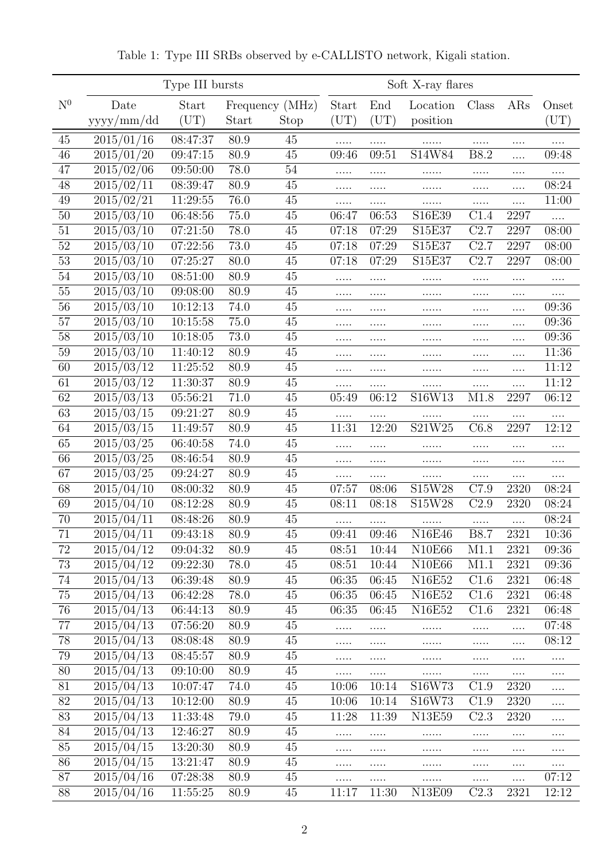|                | Type III bursts          |                      |              |                         | Soft X-ray flares     |                     |                      |              |                  |                          |
|----------------|--------------------------|----------------------|--------------|-------------------------|-----------------------|---------------------|----------------------|--------------|------------------|--------------------------|
| N <sup>0</sup> | Date<br>yyyy/mm/dd       | Start<br>(UT)        | Start        | Frequency (MHz)<br>Stop | Start<br>$({\rm UT})$ | End<br>$({\rm UT})$ | Location<br>position | Class        | ARs              | Onset<br>$(\mathrm{UT})$ |
| 45             | 2015/01/16               | 08:47:37             | 80.9         | 45                      |                       |                     |                      | .            |                  |                          |
| 46             | 2015/01/20               | 09:47:15             | 80.9         | 45                      | 09:46                 | 09:51               | S14W84               | <b>B8.2</b>  | .                | 09:48                    |
| 47             | $\frac{2015}{02}{66}$    | 09:50:00             | 78.0         | 54                      | .                     |                     |                      | .            | .                | $\cdots$                 |
| 48             | 2015/02/11               | 08:39:47             | 80.9         | 45                      | .                     | .                   | .                    | .            | $\cdots$         | 08:24                    |
| 49             | 2015/02/21               | 11:29:55             | 76.0         | 45                      | .                     | .                   |                      | .            | $\cdots$         | 11:00                    |
| 50             | 2015/03/10               | 06:48:56             | 75.0         | $45\,$                  | 06:47                 | 06:53               | S16E39               | C1.4         | 2297             |                          |
| 51             | 2015/03/10               | 07:21:50             | 78.0         | 45                      | 07:18                 | 07:29               | S15E37               | C2.7         | 2297             | 08:00                    |
| $52\,$         | 2015/03/10               | 07:22:56             | 73.0         | 45                      | 07:18                 | 07:29               | S15E37               | C2.7         | 2297             | 08:00                    |
| 53             | 2015/03/10               | 07:25:27             | 80.0         | 45                      | 07:18                 | 07:29               | S15E37               | C2.7         | 2297             | 08:00                    |
| 54             | 2015/03/10               | 08:51:00             | 80.9         | $45\,$                  | .                     | .                   | .                    | .            | .                | .                        |
| 55             | 2015/03/10               | 09:08:00             | 80.9         | 45                      | .                     |                     |                      | .            | .                | $\cdots$                 |
| 56             | 2015/03/10               | 10:12:13             | 74.0         | 45                      | .                     | .                   |                      | .            | .                | 09:36                    |
| 57             | 2015/03/10               | 10:15:58             | 75.0         | 45                      | .                     | .                   |                      | .            | $\cdots$         | 09:36                    |
| 58             | 2015/03/10               | 10:18:05             | 73.0         | 45                      | .                     |                     |                      | .            | $\cdots$         | 09:36                    |
| 59             | 2015/03/10               | 11:40:12             | 80.9         | 45                      | .                     | .                   | .                    | .            | $\cdots$         | 11:36                    |
| 60             | 2015/03/12               | 11:25:52             | 80.9         | 45                      | .                     | $\cdots$            | .                    | .            | $\cdots$         | 11:12                    |
| 61             | 2015/03/12               | 11:30:37             | 80.9         | 45                      |                       |                     |                      | .            | $\cdots$         | 11:12                    |
| 62             | 2015/03/13               | 05:56:21             | 71.0         | 45                      | 05:49                 | 06:12               | S16W13               | M1.8         | 2297             | 06:12                    |
| 63             | 2015/03/15               | 09:21:27             | 80.9         | $45\,$                  | .                     | .                   |                      | .            | $\cdots$         | $\cdots$                 |
| 64             | 2015/03/15               | 11:49:57             | 80.9         | $45\,$                  | 11:31                 | 12:20               | S21W25               | C6.8         | 2297             | 12:12                    |
| 65             | 2015/03/25               | 06:40:58             | 74.0         | 45                      | .                     | .                   |                      | .            | $\cdots$         | $\cdots$                 |
| 66             | 2015/03/25               | 08:46:54             | 80.9         | 45                      | .                     | .                   |                      | .            | $\cdots$         | $\cdots$                 |
| 67             | 2015/03/25               | 09:24:27             | 80.9         | 45                      | .                     | .                   | .                    | .            | $\cdots$         | $\cdots$                 |
| 68             | 2015/04/10               | 08:00:32             | 80.9         | 45                      | 07:57                 | 08:06               | S15W28               | C7.9         | 2320             | 08:24                    |
| 69             | 2015/04/10               | 08:12:28             | 80.9         | $45\,$                  | 08:11                 | 08:18               | S15W28               | C2.9         | 2320             | 08:24                    |
| 70             | 2015/04/11               | 08:48:26             | 80.9         | $45\,$                  | .                     | .                   | .                    | .            | $\cdots$         | 08:24                    |
| 71             | $\frac{2015}{04}/11$     | 09:43:18             | 80.9         | 45                      | 09:41                 | 09:46               | N16E46               | <b>B8.7</b>  | 2321             | 10:36                    |
| $72\,$         | 2015/04/12               | 09:04:32             | 80.9         | 45                      | 08:51                 | 10:44               | N10E66               | M1.1         | 2321             | 09:36                    |
| 73             | 2015/04/12               | 09:22:30             | 78.0         | 45                      | 08:51                 | 10:44               | N10E66               | M1.1         | 2321             | 09:36                    |
| 74             | 2015/04/13               | 06:39:48             | 80.9         | 45                      | 06:35                 | 06:45               | N16E52               | C1.6         | 2321             | 06:48                    |
| $75\,$         | 2015/04/13               | 06:42:28             | 78.0         | 45                      | 06:35                 | 06:45               | N16E52               | C1.6         | 2321             | 06:48                    |
| 76             | 2015/04/13               | 06:44:13             | 80.9         | 45                      | 06:35                 | 06:45               | N16E52               | C1.6         | 2321             | 06:48                    |
| $77\,$         | 2015/04/13               | 07:56:20             | 80.9         | 45                      | .                     | .                   |                      | .            | $\cdots$         | 07:48                    |
| $78\,$         | 2015/04/13               | 08:08:48             | 80.9         | 45                      | .                     | $\cdots$            | .                    | .            | $\cdots$         | 08:12                    |
| 79             | 2015/04/13<br>2015/04/13 | 08:45:57             | 80.9         | 45                      | .                     |                     | .                    | .            | $\cdots$         | $\cdots$                 |
| 80             |                          | 09:10:00             | 80.9         | 45                      | .                     | $\cdots$            | .                    | .            | $\cdots$         | $\cdots$                 |
| 81<br>$82\,$   | 2015/04/13<br>2015/04/13 | 10:07:47<br>10:12:00 | 74.0<br>80.9 | 45<br>45                | 10:06<br>10:06        | 10:14<br>10:14      | S16W73<br>S16W73     | C1.9<br>C1.9 | 2320<br>2320     | $\cdots$                 |
| 83             |                          | 11:33:48             | 79.0         | 45                      | 11:28                 | 11:39               | N13E59               | C2.3         | 2320             | $\cdots$                 |
| 84             | 2015/04/13<br>2015/04/13 | 12:46:27             | 80.9         | 45                      |                       |                     |                      |              |                  | $\cdots$                 |
| 85             | 2015/04/15               | 13:20:30             | 80.9         | 45                      | .                     | $\cdots$            | .                    | .            | $\ldots$         | $\cdots$                 |
| $86\,$         | 2015/04/15               | 13:21:47             | 80.9         | 45                      | .                     | .                   |                      | .            | $\cdots$         | $\cdots$                 |
| 87             | 2015/04/16               | 07:28:38             | 80.9         | 45                      | .                     | $\cdots$            | .                    | .            | $\cdots$         | $\cdots$<br>07:12        |
| 88             | 2015/04/16               | 11:55:25             | 80.9         | $45\,$                  | $\cdots$<br>11:17     | <br>11:30           | .<br>N13E09          | .<br>C2.3    | $\cdots$<br>2321 | 12:12                    |
|                |                          |                      |              |                         |                       |                     |                      |              |                  |                          |

Table 1: Type III SRBs observed by e-CALLISTO network, Kigali station.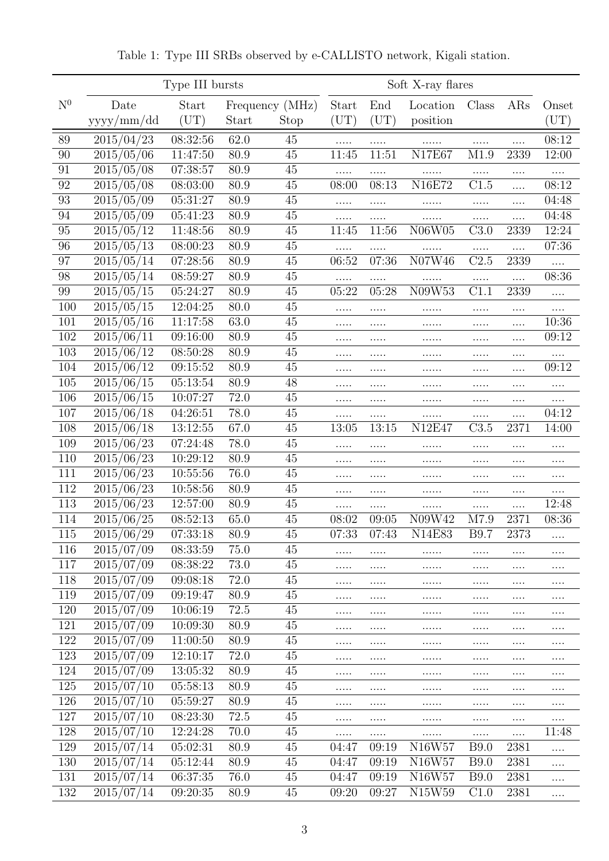|                | Type III bursts         |                              |       |                         | Soft X-ray flares     |                     |                                 |              |                  |                       |
|----------------|-------------------------|------------------------------|-------|-------------------------|-----------------------|---------------------|---------------------------------|--------------|------------------|-----------------------|
| N <sup>0</sup> | Date<br>yyyy/mm/dd      | <b>Start</b><br>$({\rm UT})$ | Start | Frequency (MHz)<br>Stop | Start<br>$({\rm UT})$ | End<br>$({\rm UT})$ | Location<br>position            | Class        | ARs              | Onset<br>$({\rm UT})$ |
| 89             | 2015/04/23              | 08:32:56                     | 62.0  | 45                      |                       |                     |                                 |              |                  | 08:12                 |
| 90             | 2015/05/06              | 11:47:50                     | 80.9  | $45\,$                  | 11:45                 | .<br>11:51          | N17E67                          | M1.9         | $\cdots$<br>2339 | 12:00                 |
| 91             | 2015/05/08              | 07:38:57                     | 80.9  | 45                      |                       |                     |                                 |              |                  |                       |
| 92             | 2015/05/08              | 08:03:00                     | 80.9  | 45                      | 08:00                 | .<br>08:13          | <b>N16E72</b>                   | C1.5         | <br>.            | .<br>08:12            |
| 93             | 2015/05/09              | 05:31:27                     | 80.9  | 45                      | .                     | .                   | .                               | .            | $\cdots$         | 04:48                 |
| 94             | 2015/05/09              | 05:41:23                     | 80.9  | $45\,$                  | .                     | .                   |                                 | .            | .                | 04:48                 |
| 95             | 2015/05/12              | 11:48:56                     | 80.9  | 45                      | 11:45                 | 11:56               | N06W05                          | C3.0         | 2339             | 12:24                 |
| 96             | $\overline{2015/05/13}$ | 08:00:23                     | 80.9  | 45                      |                       | .                   |                                 | .            | $\cdots$         | 07:36                 |
| 97             | 2015/05/14              | 07:28:56                     | 80.9  | 45                      | 06:52                 | 07:36               | N07W46                          | C2.5         | 2339             | .                     |
| 98             | 2015/05/14              | 08:59:27                     | 80.9  | 45                      | .                     | .                   | .                               | .            | $\cdots$         | 08:36                 |
| 99             | 2015/05/15              | 05:24:27                     | 80.9  | 45                      | 05:22                 | 05:28               | N09W53                          | C1.1         | 2339             | .                     |
| 100            | 2015/05/15              | 12:04:25                     | 80.0  | 45                      | .                     | .                   | .                               | .            | $\cdots$         | .                     |
| 101            | 2015/05/16              | 11:17:58                     | 63.0  | 45                      | .                     | .                   |                                 | .            | $\cdots$         | 10:36                 |
| 102            | 2015/06/11              | 09:16:00                     | 80.9  | 45                      | .                     | .                   | .                               | .            | .                | 09:12                 |
| 103            | 2015/06/12              | 08:50:28                     | 80.9  | 45                      | .                     | .                   | .                               | .            | $\cdots$         | .                     |
| 104            | 2015/06/12              | 09:15:52                     | 80.9  | 45                      | .                     | .                   | .                               | .            | .                | 09:12                 |
| 105            | 2015/06/15              | 05:13:54                     | 80.9  | 48                      |                       | .                   | .                               | .            | $\cdots$         | $\cdots$              |
| 106            | 2015/06/15              | 10:07:27                     | 72.0  | 45                      | .                     | .                   | .                               | .            | $\cdots$         | $\cdots$              |
| 107            | 2015/06/18              | 04:26:51                     | 78.0  | $45\,$                  | .                     | .                   | .                               |              | $\cdots$         | 04:12                 |
| 108            | 2015/06/18              | 13:12:55                     | 67.0  | 45                      | 13:05                 | 13:15               | N12E47                          | C3.5         | 2371             | 14:00                 |
| 109            | 2015/06/23              | 07:24:48                     | 78.0  | $45\,$                  | .                     | .                   | .                               | .            | $\cdots$         | .                     |
| 110            | 2015/06/23              | 10:29:12                     | 80.9  | 45                      | .                     |                     |                                 |              |                  | .                     |
| 111            | 2015/06/23              | 10:55:56                     | 76.0  | $45\,$                  | .                     | .                   | .                               | .            | $\cdots$         | $\cdots$              |
| 112            | 2015/06/23              | 10:58:56                     | 80.9  | 45                      | .                     | .                   | .                               |              | $\cdots$         | $\cdots$              |
| 113            | 2015/06/23              | 12:57:00                     | 80.9  | 45                      | .                     | .                   | .                               | .            | $\cdots$         | 12:48                 |
| 114            | 2015/06/25              | 08:52:13                     | 65.0  | 45                      | 08:02                 | 09:05               | N09W42                          | M7.9         | 2371             | 08:36                 |
| 115            | $\frac{2015}{06/29}$    | 07:33:18                     | 80.9  | 45                      | 07:33                 | 07:43               | N14E83                          | <b>B</b> 9.7 | 2373             | .                     |
| 116            | 2015/07/09              | 08:33:59                     | 75.0  | 45                      | .                     |                     |                                 |              | $\cdots$         |                       |
| 117            | 2015/07/09              | 08:38:22                     | 73.0  | 45                      |                       |                     |                                 | $\cdots$     | $\cdots$         | $\cdots$              |
| 118            | 2015/07/09              | 09:08:18                     | 72.0  | 45                      | .                     | .                   |                                 | .            | .                | .                     |
| 119            | 2015/07/09              | 09:19:47                     | 80.9  | 45                      | .                     | .                   |                                 | .            |                  | .                     |
| 120            | 2015/07/09              | 10:06:19                     | 72.5  | 45                      |                       | .                   |                                 | .            | $\cdots$         | $\cdots$              |
| 121            | 2015/07/09              | 10:09:30                     | 80.9  | 45                      | $\cdots$ .            | .                   | .                               | .            | $\cdots$         | .                     |
| 122            | 2015/07/09              | 11:00:50                     | 80.9  | 45                      | $\cdots$              | .                   |                                 |              | $\cdots$         | $\cdots$              |
| 123            | 2015/07/09              | 12:10:17                     | 72.0  | 45                      | .                     | .                   | .                               |              | $\cdots$         | $\cdots$              |
| 124            | 2015/07/09              | 13:05:32                     | 80.9  | 45                      |                       | .                   |                                 | .            | $\cdots$         | .                     |
| 125            | 2015/07/10              | 05:58:13                     | 80.9  | 45                      |                       | .                   |                                 | .            | $\cdots$         | .                     |
| 126            | 2015/07/10              | 05:59:27                     | 80.9  | 45                      |                       |                     | $\cdots\cdots$                  |              | $\cdots$         | $\cdots$              |
| 127            | 2015/07/10              | 08:23:30                     | 72.5  | 45                      |                       | .                   | .                               | .            | $\cdots$         | $\cdots$              |
| 128            | 2015/07/10              | 12:24:28                     | 70.0  | 45                      |                       | .                   |                                 | .            | $\cdots$         | 11:48                 |
| 129            | 2015/07/14              | 05:02:31                     | 80.9  | 45                      | 04:47                 | 09:19               | N16W57                          | <b>B9.0</b>  | 2381             | .                     |
| 130            | 2015/07/14              | 05:12:44                     | 80.9  | $45\,$                  | 04:47                 | 09:19               | N <sub>16</sub> W <sub>57</sub> | <b>B9.0</b>  | 2381             | .                     |
| 131            | 2015/07/14              | 06:37:35                     | 76.0  | 45                      | 04:47                 | 09:19               | N16W57                          | <b>B9.0</b>  | 2381             | .                     |
| 132            | 2015/07/14              | 09:20:35                     | 80.9  | 45                      | 09:20                 | 09:27               | N15W59                          | C1.0         | 2381             | .                     |

Table 1: Type III SRBs observed by e-CALLISTO network, Kigali station.